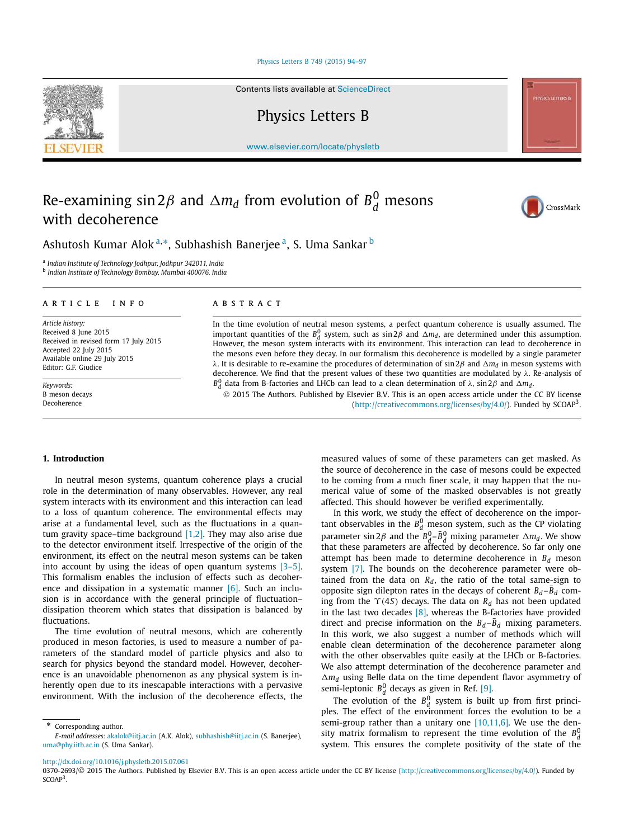#### Physics Letters B 749 (2015) 94–97

Contents lists available at ScienceDirect

## Physics Letters B

www.elsevier.com/locate/physletb

# Re-examining  $\sin 2\beta$  and  $\Delta m_d$  from evolution of  $B_d^0$  mesons with decoherence

Ashutosh Kumar Alok<sup>a,</sup>\*, Subhashish Banerjee<sup>a</sup>, S. Uma Sankar <sup>b</sup>

a *Indian Institute of Technology Jodhpur, Jodhpur 342011, India*

b *Indian Institute of Technology Bombay, Mumbai 400076, India*

#### A R T I C L E I N F O A B S T R A C T

*Article history:* Received 8 June 2015 Received in revised form 17 July 2015 Accepted 22 July 2015 Available online 29 July 2015 Editor: G.F. Giudice

*Keywords:* B meson decays Decoherence

In the time evolution of neutral meson systems, a perfect quantum coherence is usually assumed. The important quantities of the  $B_d^0$  system, such as sin 2β and  $\Delta m_d$ , are determined under this assumption. However, the meson system interacts with its environment. This interaction can lead to decoherence in the mesons even before they decay. In our formalism this decoherence is modelled by a single parameter λ. It is desirable to re-examine the procedures of determination of sin 2β and *m<sup>d</sup>* in meson systems with decoherence. We find that the present values of these two quantities are modulated by  $\lambda$ . Re-analysis of *B* 0 *d* data from B-factories and LHCb can lead to a clean determination of λ, sin 2β and *md*.

 2015 The Authors. Published by Elsevier B.V. This is an open access article under the CC BY license (http://creativecommons.org/licenses/by/4.0/). Funded by SCOAP<sup>3</sup>.

### **1. Introduction**

In neutral meson systems, quantum coherence plays a crucial role in the determination of many observables. However, any real system interacts with its environment and this interaction can lead to a loss of quantum coherence. The environmental effects may arise at a fundamental level, such as the fluctuations in a quantum gravity space–time background  $[1,2]$ . They may also arise due to the detector environment itself. Irrespective of the origin of the environment, its effect on the neutral meson systems can be taken into account by using the ideas of open quantum systems [3–5]. This formalism enables the inclusion of effects such as decoherence and dissipation in a systematic manner  $[6]$ . Such an inclusion is in accordance with the general principle of fluctuation– dissipation theorem which states that dissipation is balanced by fluctuations.

The time evolution of neutral mesons, which are coherently produced in meson factories, is used to measure a number of parameters of the standard model of particle physics and also to search for physics beyond the standard model. However, decoherence is an unavoidable phenomenon as any physical system is inherently open due to its inescapable interactions with a pervasive environment. With the inclusion of the decoherence effects, the

Corresponding author.

measured values of some of these parameters can get masked. As the source of decoherence in the case of mesons could be expected to be coming from a much finer scale, it may happen that the numerical value of some of the masked observables is not greatly affected. This should however be verified experimentally.

In this work, we study the effect of decoherence on the important observables in the  $B_d^0$  meson system, such as the CP violating parameter sin 2 $\beta$  and the  $B_d^0 - \bar{B}_d^0$  mixing parameter  $\Delta m_d$ . We show that these parameters are affected by decoherence. So far only one attempt has been made to determine decoherence in *B<sup>d</sup>* meson system [7]. The bounds on the decoherence parameter were obtained from the data on  $R_d$ , the ratio of the total same-sign to opposite sign dilepton rates in the decays of coherent  $B_d - B_d$  coming from the ϒ(4*S*) decays. The data on *R<sup>d</sup>* has not been updated in the last two decades  $[8]$ , whereas the B-factories have provided direct and precise information on the  $B_d - B_d$  mixing parameters. In this work, we also suggest a number of methods which will enable clean determination of the decoherence parameter along with the other observables quite easily at the LHCb or B-factories. We also attempt determination of the decoherence parameter and *m<sup>d</sup>* using Belle data on the time dependent flavor asymmetry of semi-leptonic  $B_d^0$  decays as given in Ref. [9].

The evolution of the  $B_d^0$  system is built up from first principles. The effect of the environment forces the evolution to be a semi-group rather than a unitary one [10,11,6]. We use the density matrix formalism to represent the time evolution of the  $B_d^0$ system. This ensures the complete positivity of the state of the

http://dx.doi.org/10.1016/j.physletb.2015.07.061

0370-2693/© 2015 The Authors. Published by Elsevier B.V. This is an open access article under the CC BY license (http://creativecommons.org/licenses/by/4.0/). Funded by  $SCOAP<sup>3</sup>$ .







*E-mail addresses:* akalok@iitj.ac.in (A.K. Alok), subhashish@iitj.ac.in (S. Banerjee), uma@phy.iitb.ac.in (S. Uma Sankar).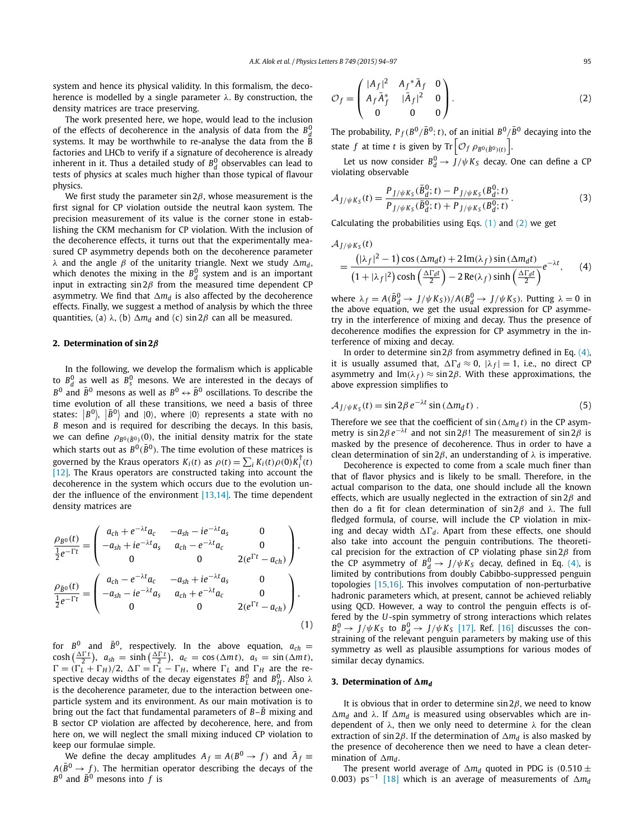system and hence its physical validity. In this formalism, the decoherence is modelled by a single parameter  $\lambda$ . By construction, the density matrices are trace preserving.

The work presented here, we hope, would lead to the inclusion of the effects of decoherence in the analysis of data from the  $B_d^0$ systems. It may be worthwhile to re-analyse the data from the B factories and LHCb to verify if a signature of decoherence is already inherent in it. Thus a detailed study of  $B_d^0$  observables can lead to tests of physics at scales much higher than those typical of flavour physics.

We first study the parameter sin  $2\beta$ , whose measurement is the first signal for CP violation outside the neutral kaon system. The precision measurement of its value is the corner stone in establishing the CKM mechanism for CP violation. With the inclusion of the decoherence effects, it turns out that the experimentally measured CP asymmetry depends both on the decoherence parameter λ and the angle *β* of the unitarity triangle. Next we study  $\Delta m_d$ , which denotes the mixing in the  $B_d^0$  system and is an important input in extracting  $\sin 2\beta$  from the measured time dependent CP asymmetry. We find that  $\Delta m_d$  is also affected by the decoherence effects. Finally, we suggest a method of analysis by which the three quantities, (a)  $\lambda$ , (b)  $\Delta m_d$  and (c) sin 2 $\beta$  can all be measured.

#### **2. Determination of sin 2**β

In the following, we develop the formalism which is applicable to  $B_d^0$  as well as  $B_s^0$  mesons. We are interested in the decays of  $B^0$  and  $\bar{B}^0$  mesons as well as  $B^0 \leftrightarrow \bar{B}^0$  oscillations. To describe the time evolution of all these transitions, we need a basis of three states:  $|B^0\rangle$ ,  $|\bar{B}^0\rangle$  and  $|0\rangle$ , where  $|0\rangle$  represents a state with no *B* meson and is required for describing the decays. In this basis, we can define  $\rho_{B^0(\bar{B}^0)}(0)$ , the initial density matrix for the state which starts out as  $B^0(\bar{B}^0)$ . The time evolution of these matrices is governed by the Kraus operators  $K_i(t)$  as  $\rho(t) = \sum_i K_i(t) \rho(0) K_i^{\dagger}(t)$ [12]. The Kraus operators are constructed taking into account the decoherence in the system which occurs due to the evolution under the influence of the environment [13,14]. The time dependent density matrices are

$$
\frac{\rho_{B^0}(t)}{\frac{1}{2}e^{-\Gamma t}} = \begin{pmatrix} a_{ch} + e^{-\lambda t}a_c & -a_{sh} - ie^{-\lambda t}a_s & 0\\ -a_{sh} + ie^{-\lambda t}a_s & a_{ch} - e^{-\lambda t}a_c & 0\\ 0 & 0 & 2(e^{\Gamma t} - a_{ch}) \end{pmatrix},
$$
\n
$$
\frac{\rho_{\bar{B}^0}(t)}{\frac{1}{2}e^{-\Gamma t}} = \begin{pmatrix} a_{ch} - e^{-\lambda t}a_c & -a_{sh} + ie^{-\lambda t}a_s & 0\\ -a_{sh} - ie^{-\lambda t}a_s & a_{ch} + e^{-\lambda t}a_c & 0\\ 0 & 0 & 2(e^{\Gamma t} - a_{ch}) \end{pmatrix},
$$
\n(1)

for  $B^0$  and  $\bar{B}^0$ , respectively. In the above equation,  $a_{ch} =$  $\cosh\left(\frac{\Delta \Gamma t}{2}\right)$ ,  $a_{sh} = \sinh\left(\frac{\Delta \Gamma t}{2}\right)$ ,  $a_c = \cos\left(\Delta m t\right)$ ,  $a_s = \sin\left(\Delta m t\right)$ ,  $\Gamma = (\Gamma_L + \Gamma_H)/2$ ,  $\Delta \Gamma = \Gamma_L - \Gamma_H$ , where  $\Gamma_L$  and  $\Gamma_H$  are the respective decay widths of the decay eigenstates  $B^0_L$  and  $B^0_H$ . Also  $\lambda$ is the decoherence parameter, due to the interaction between oneparticle system and its environment. As our main motivation is to bring out the fact that fundamental parameters of  $B-\overline{B}$  mixing and B sector CP violation are affected by decoherence, here, and from here on, we will neglect the small mixing induced CP violation to keep our formulae simple.

We define the decay amplitudes  $A_f \equiv A(B^0 \rightarrow f)$  and  $\bar{A}_f \equiv$  $A(\bar{B}^0 \rightarrow f)$ . The hermitian operator describing the decays of the  $B^0$  and  $\bar{B}^0$  mesons into  $f$  is

$$
\mathcal{O}_f = \begin{pmatrix} |A_f|^2 & A_f^* \bar{A}_f & 0 \\ A_f \bar{A}_f^* & |\bar{A}_f|^2 & 0 \\ 0 & 0 & 0 \end{pmatrix} . \tag{2}
$$

The probability,  $P_f(B^0/\bar{B}^0; t)$ , of an initial  $B^0/\bar{B}^0$  decaying into the state *f* at time *t* is given by  $\text{Tr}\left[\mathcal{O}_f \rho_{B^0(\bar{B}^0)(t)}\right]$ .

Let us now consider  $B_d^0 \rightarrow J/\psi K_S$  decay. One can define a CP violating observable

$$
\mathcal{A}_{J/\psi K_S}(t) = \frac{P_{J/\psi K_S}(\bar{B}_d^0; t) - P_{J/\psi K_S}(\bar{B}_d^0; t)}{P_{J/\psi K_S}(\bar{B}_d^0; t) + P_{J/\psi K_S}(\bar{B}_d^0; t)}.
$$
(3)

Calculating the probabilities using Eqs.  $(1)$  and  $(2)$  we get

$$
\mathcal{A}_{J/\psi K_5}(t)
$$
\n
$$
= \frac{(|\lambda_f|^2 - 1)\cos(\Delta m_d t) + 2\operatorname{Im}(\lambda_f)\sin(\Delta m_d t)}{(1 + |\lambda_f|^2)\cosh(\frac{\Delta \Gamma_d t}{2}) - 2\operatorname{Re}(\lambda_f)\sinh(\frac{\Delta \Gamma_d t}{2})}e^{-\lambda t}, \quad (4)
$$

where  $\lambda_f = A(\bar{B}_d^0 \rightarrow J/\psi K_S) / A(B_d^0 \rightarrow J/\psi K_S)$ . Putting  $\lambda = 0$  in the above equation, we get the usual expression for CP asymmetry in the interference of mixing and decay. Thus the presence of decoherence modifies the expression for CP asymmetry in the interference of mixing and decay.

In order to determine  $\sin 2\beta$  from asymmetry defined in Eq. (4), it is usually assumed that,  $\Delta\Gamma_d \approx 0$ ,  $|\lambda_f| = 1$ , i.e., no direct CP asymmetry and Im( $\lambda_f$ )  $\approx$  sin 2 $\beta$ . With these approximations, the above expression simplifies to

$$
A_{J/\psi K_S}(t) = \sin 2\beta \, e^{-\lambda t} \sin \left(\Delta m_d \, t\right) \,. \tag{5}
$$

Therefore we see that the coefficient of  $\sin(\Delta m_d t)$  in the CP asymmetry is  $\sin 2\beta e^{-\lambda t}$  and not  $\sin 2\beta$ ! The measurement of  $\sin 2\beta$  is masked by the presence of decoherence. Thus in order to have a clean determination of sin 2 $\beta$ , an understanding of  $\lambda$  is imperative.

Decoherence is expected to come from a scale much finer than that of flavor physics and is likely to be small. Therefore, in the actual comparison to the data, one should include all the known effects, which are usually neglected in the extraction of sin  $2\beta$  and then do a fit for clean determination of sin 2 $β$  and  $λ$ . The full fledged formula, of course, will include the CP violation in mixing and decay width  $\Delta\Gamma_d$ . Apart from these effects, one should also take into account the penguin contributions. The theoretical precision for the extraction of CP violating phase  $sin 2\beta$  from the CP asymmetry of  $B_d^0 \rightarrow J/\psi K_S$  decay, defined in Eq. (4), is limited by contributions from doubly Cabibbo-suppressed penguin topologies [15,16]. This involves computation of non-perturbative hadronic parameters which, at present, cannot be achieved reliably using QCD. However, a way to control the penguin effects is offered by the *U*-spin symmetry of strong interactions which relates  $B_s^0 \rightarrow J/\psi K_S$  to  $B_d^0 \rightarrow J/\psi K_S$  [17]. Ref. [16] discusses the constraining of the relevant penguin parameters by making use of this symmetry as well as plausible assumptions for various modes of similar decay dynamics.

#### **3. Determination** of  $\Delta m_d$

It is obvious that in order to determine  $\sin 2\beta$ , we need to know  $\Delta m_d$  and λ. If  $\Delta m_d$  is measured using observables which are independent of  $\lambda$ , then we only need to determine  $\lambda$  for the clean extraction of sin 2 $\beta$ . If the determination of  $\Delta m_d$  is also masked by the presence of decoherence then we need to have a clean determination of  $\Delta m_d$ .

The present world average of  $\Delta m_d$  quoted in PDG is (0.510  $\pm$ 0.003) ps<sup>-1</sup> [18] which is an average of measurements of ∆m<sub>d</sub>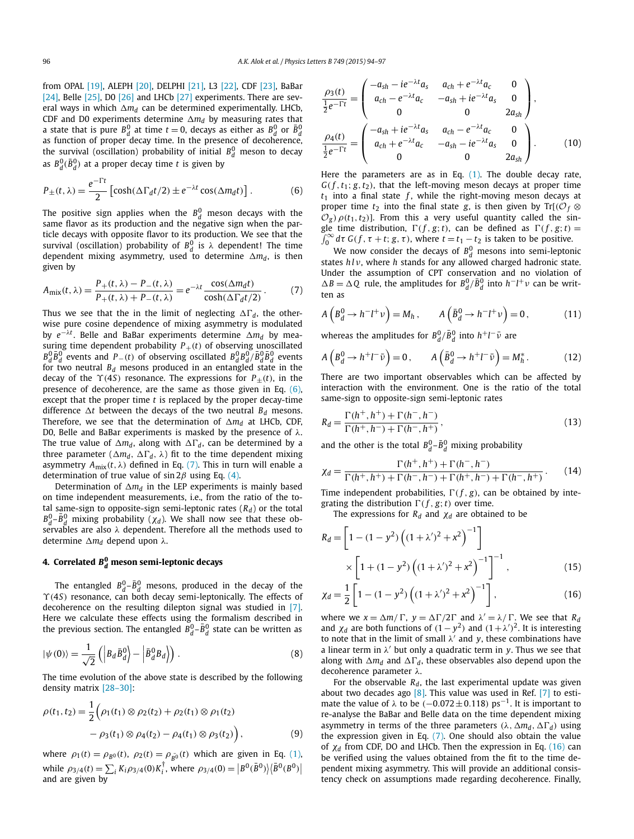from OPAL [19], ALEPH [20], DELPHI [21], L3 [22], CDF [23], BaBar [24], Belle [25], D0 [26] and LHCb [27] experiments. There are several ways in which  $\Delta m_d$  can be determined experimentally. LHCb, CDF and D0 experiments determine  $\Delta m_d$  by measuring rates that a state that is pure  $B_d^0$  at time  $t = 0$ , decays as either as  $B_d^0$  or  $\bar{B}_d^0$ as function of proper decay time. In the presence of decoherence, the survival (oscillation) probability of initial  $B_d^0$  meson to decay as  $B_d^0$ ( $\bar{B}_d^0$ ) at a proper decay time *t* is given by

$$
P_{\pm}(t,\lambda) = \frac{e^{-\Gamma t}}{2} \left[ \cosh(\Delta \Gamma_d t/2) \pm e^{-\lambda t} \cos(\Delta m_d t) \right]. \tag{6}
$$

The positive sign applies when the  $B_d^0$  meson decays with the same flavor as its production and the negative sign when the particle decays with opposite flavor to its production. We see that the survival (oscillation) probability of  $B_d^0$  is  $\lambda$  dependent! The time dependent mixing asymmetry, used to determine  $\Delta m_d$ , is then given by

$$
A_{\text{mix}}(t,\lambda) = \frac{P_+(t,\lambda) - P_-(t,\lambda)}{P_+(t,\lambda) + P_-(t,\lambda)} = e^{-\lambda t} \frac{\cos(\Delta m_d t)}{\cosh(\Delta \Gamma_d t/2)}.
$$
(7)

Thus we see that the in the limit of neglecting  $\Delta\Gamma_d$ , the otherwise pure cosine dependence of mixing asymmetry is modulated by e<sup>−λt</sup>. Belle and BaBar experiments determine ∆m<sub>d</sub> by measuring time dependent probability  $P_+(t)$  of observing unoscillated  $B^0_d \bar{B}^0_d$  events and *P*−(*t*) of observing oscillated  $B^0_d B^0_d / \bar{B}^0_d \bar{B}^0_d$  events for two neutral  $B_d$  mesons produced in an entangled state in the decay of the  $\Upsilon(45)$  resonance. The expressions for  $P_{+}(t)$ , in the presence of decoherence, are the same as those given in Eq. (6), except that the proper time *t* is replaced by the proper decay-time difference  $\Delta t$  between the decays of the two neutral  $B_d$  mesons. Therefore, we see that the determination of  $\Delta m_d$  at LHCb, CDF, D0, Belle and BaBar experiments is masked by the presence of  $\lambda$ . The true value of  $\Delta m_d$ , along with  $\Delta \Gamma_d$ , can be determined by a three parameter ( $\Delta m_d$ ,  $\Delta \Gamma_d$ ,  $\lambda$ ) fit to the time dependent mixing asymmetry  $A_{mix}(t, \lambda)$  defined in Eq. (7). This in turn will enable a determination of true value of sin  $2\beta$  using Eq. (4).

Determination of  $\Delta m_d$  in the LEP experiments is mainly based on time independent measurements, i.e., from the ratio of the total same-sign to opposite-sign semi-leptonic rates (*Rd*) or the total  $B_d^0$ – $\bar{B}_d^0$  mixing probability ( $\chi_d$ ). We shall now see that these observables are also  $\lambda$  dependent. Therefore all the methods used to determine *m<sup>d</sup>* depend upon λ.

## **4. Correlated** *B* **0** *<sup>d</sup>* **meson semi-leptonic decays**

The entangled  $B_d^0$ – $\bar{B}_d^0$  mesons, produced in the decay of the ϒ(4*S*) resonance, can both decay semi-leptonically. The effects of decoherence on the resulting dilepton signal was studied in [7]. Here we calculate these effects using the formalism described in the previous section. The entangled  $B_d^0$ – $\bar{B}_d^0$  state can be written as

$$
|\psi(0)\rangle = \frac{1}{\sqrt{2}} \left( \left| B_d \bar{B}_d^0 \right| - \left| \bar{B}_d^0 B_d \right| \right). \tag{8}
$$

The time evolution of the above state is described by the following density matrix [28–30]:

$$
\rho(t_1, t_2) = \frac{1}{2} \Big( \rho_1(t_1) \otimes \rho_2(t_2) + \rho_2(t_1) \otimes \rho_1(t_2) -\rho_3(t_1) \otimes \rho_4(t_2) - \rho_4(t_1) \otimes \rho_3(t_2) \Big), \tag{9}
$$

where  $\rho_1(t) = \rho_{B^0}(t)$ ,  $\rho_2(t) = \rho_{\bar{B^0}}(t)$  which are given in Eq. (1), while  $\rho_{3/4}(t) = \sum_{i} K_i \rho_{3/4}(0) K_i^{\dagger}$ , where  $\rho_{3/4}(0) = |B^0(\bar{B}^0)| \langle \bar{B}^0(B^0)|$ and are given by

$$
\frac{\rho_3(t)}{\frac{1}{2}e^{-\Gamma t}} = \begin{pmatrix} -a_{sh} - ie^{-\lambda t}a_s & a_{ch} + e^{-\lambda t}a_c & 0\\ a_{ch} - e^{-\lambda t}a_c & -a_{sh} + ie^{-\lambda t}a_s & 0\\ 0 & 0 & 2a_{sh} \end{pmatrix},
$$
\n
$$
\frac{\rho_4(t)}{\frac{1}{2}e^{-\Gamma t}} = \begin{pmatrix} -a_{sh} + ie^{-\lambda t}a_s & a_{ch} - e^{-\lambda t}a_c & 0\\ a_{ch} + e^{-\lambda t}a_c & -a_{sh} - ie^{-\lambda t}a_s & 0\\ 0 & 0 & 2a_{sh} \end{pmatrix}.
$$
\n(10)

Here the parameters are as in Eq. (1). The double decay rate,  $G(f, t_1; g, t_2)$ , that the left-moving meson decays at proper time  $t_1$  into a final state  $f$ , while the right-moving meson decays at proper time  $t_2$  into the final state *g*, is then given by Tr[ $(\mathcal{O}_f \otimes$  $\mathcal{O}_g$ )  $\rho(t_1, t_2)$ ]. From this a very useful quantity called the single time distribution,  $\Gamma(f, g; t)$ , can be defined as  $\Gamma(f, g; t) =$  $\int_0^\infty d\tau \, G(f, \tau + t; g, \tau)$ , where  $t = t_1 - t_2$  is taken to be positive.

We now consider the decays of  $B_d^0$  mesons into semi-leptonic states *h l* ν, where *h* stands for any allowed charged hadronic state. Under the assumption of CPT conservation and no violation of  $\Delta B = \Delta Q$  rule, the amplitudes for  $B_d^0/\overline{B}_d^0$  into  $h^-l^+\nu$  can be written as

$$
A\left(B_d^0 \to h^{-}l^{+}v\right) = M_h, \qquad A\left(\bar{B}_d^0 \to h^{-}l^{+}v\right) = 0,\tag{11}
$$

whereas the amplitudes for  $B_d^0/\bar{B}_d^0$  into  $h^+l^-\bar{\nu}$  are

$$
A\left(B_d^0 \to h^+l^- \bar{\nu}\right) = 0, \qquad A\left(\bar{B}_d^0 \to h^+l^- \bar{\nu}\right) = M_h^*.
$$
 (12)

There are two important observables which can be affected by interaction with the environment. One is the ratio of the total same-sign to opposite-sign semi-leptonic rates

$$
R_d = \frac{\Gamma(h^+, h^+) + \Gamma(h^-, h^-)}{\Gamma(h^+, h^-) + \Gamma(h^-, h^+)},
$$
\n(13)

and the other is the total  $B_d^0 - \bar{B}_d^0$  mixing probability

$$
\chi_d = \frac{\Gamma(h^+, h^+) + \Gamma(h^-, h^-)}{\Gamma(h^+, h^+) + \Gamma(h^-, h^-) + \Gamma(h^+, h^-) + \Gamma(h^-, h^+)}.
$$
(14)

Time independent probabilities,  $\Gamma(f, g)$ , can be obtained by integrating the distribution  $\Gamma(f, g; t)$  over time.

The expressions for  $R_d$  and  $\chi_d$  are obtained to be

$$
R_d = \left[1 - (1 - y^2) \left((1 + \lambda')^2 + x^2\right)^{-1}\right] \times \left[1 + (1 - y^2) \left((1 + \lambda')^2 + x^2\right)^{-1}\right]^{-1},
$$
\n(15)

$$
\chi_d = \frac{1}{2} \left[ 1 - (1 - y^2) \left( (1 + \lambda')^2 + x^2 \right)^{-1} \right],\tag{16}
$$

where we  $x = \Delta m / \Gamma$ ,  $y = \Delta \Gamma / 2\Gamma$  and  $\lambda' = \lambda / \Gamma$ . We see that  $R_d$ and  $\chi_d$  are both functions of  $(1 - y^2)$  and  $(1 + \lambda')^2$ . It is interesting to note that in the limit of small  $\lambda'$  and y, these combinations have a linear term in  $\lambda'$  but only a quadratic term in y. Thus we see that along with  $\Delta m_d$  and  $\Delta \Gamma_d$ , these observables also depend upon the decoherence parameter λ.

For the observable  $R_d$ , the last experimental update was given about two decades ago  $[8]$ . This value was used in Ref.  $[7]$  to estimate the value of  $\lambda$  to be (−0.072±0.118) ps<sup>-1</sup>. It is important to re-analyse the BaBar and Belle data on the time dependent mixing asymmetry in terms of the three parameters  $(\lambda, \Delta m_d, \Delta \Gamma_d)$  using the expression given in Eq.  $(7)$ . One should also obtain the value of χ*<sup>d</sup>* from CDF, DO and LHCb. Then the expression in Eq. (16) can be verified using the values obtained from the fit to the time dependent mixing asymmetry. This will provide an additional consistency check on assumptions made regarding decoherence. Finally,